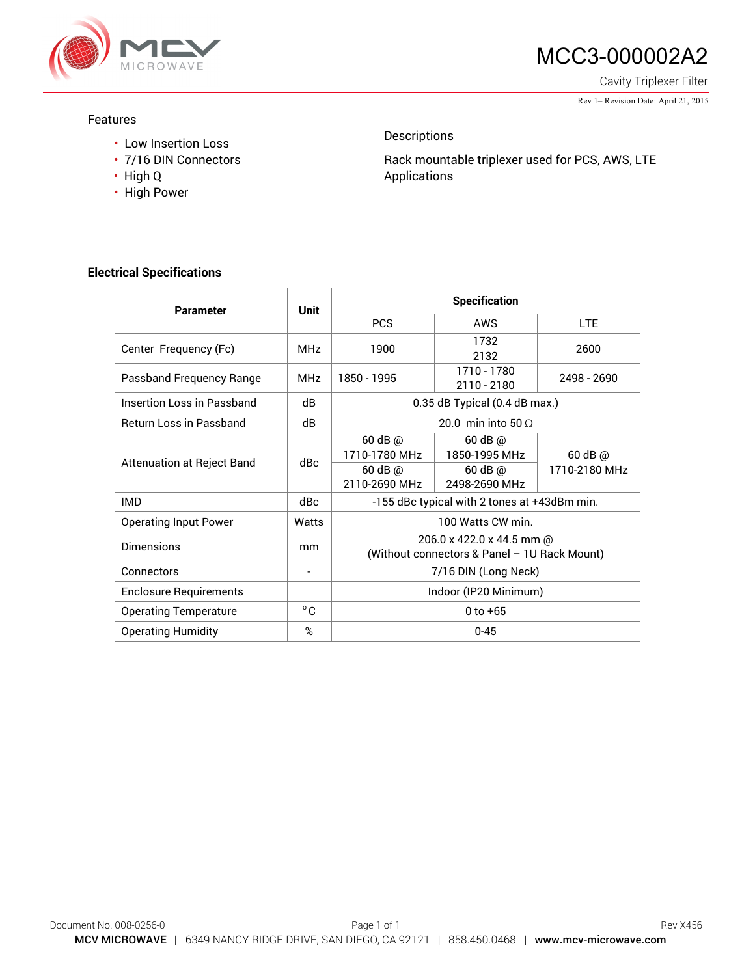

# MCC3-000002A2

Cavity Triplexer Filter

Rev 1– Revision Date: April 21, 2015

#### Features

- Low Insertion Loss
- 7/16 DIN Connectors
- High Q
- High Power

### Descriptions

Rack mountable triplexer used for PCS, AWS, LTE Applications

### **Electrical Specifications**

| <b>Parameter</b>                  | Unit            | <b>Specification</b>                                                      |                              |               |
|-----------------------------------|-----------------|---------------------------------------------------------------------------|------------------------------|---------------|
|                                   |                 | <b>PCS</b>                                                                | AWS                          | <b>LTE</b>    |
| Center Frequency (Fc)             | MH <sub>7</sub> | 1900                                                                      | 1732<br>2132                 | 2600          |
| Passband Frequency Range          | MH <sub>7</sub> | 1850 - 1995                                                               | 1710 - 1780<br>2110 - 2180   | 2498 - 2690   |
| Insertion Loss in Passband        | dB              | 0.35 dB Typical (0.4 dB max.)                                             |                              |               |
| <b>Return Loss in Passband</b>    | dB              | 20.0 min into 50 $\Omega$                                                 |                              |               |
| <b>Attenuation at Reject Band</b> | dBc.            | $60$ dB $@$<br>1710-1780 MHz                                              | 60 dB @<br>1850-1995 MHz     | $60$ dB $@$   |
|                                   |                 | 60 dB @<br>2110-2690 MHz                                                  | $60$ dB $@$<br>2498-2690 MHz | 1710-2180 MHz |
| <b>IMD</b>                        | dBc             | -155 dBc typical with 2 tones at +43dBm min.                              |                              |               |
| <b>Operating Input Power</b>      | Watts           | 100 Watts CW min.                                                         |                              |               |
| <b>Dimensions</b>                 | mm              | 206.0 x 422.0 x 44.5 mm @<br>(Without connectors & Panel - 1U Rack Mount) |                              |               |
| Connectors                        | -               | 7/16 DIN (Long Neck)                                                      |                              |               |
| <b>Enclosure Requirements</b>     |                 | Indoor (IP20 Minimum)                                                     |                              |               |
| <b>Operating Temperature</b>      | $^{\circ}$ C    | $0$ to $+65$                                                              |                              |               |
| <b>Operating Humidity</b>         | %               | $0 - 45$                                                                  |                              |               |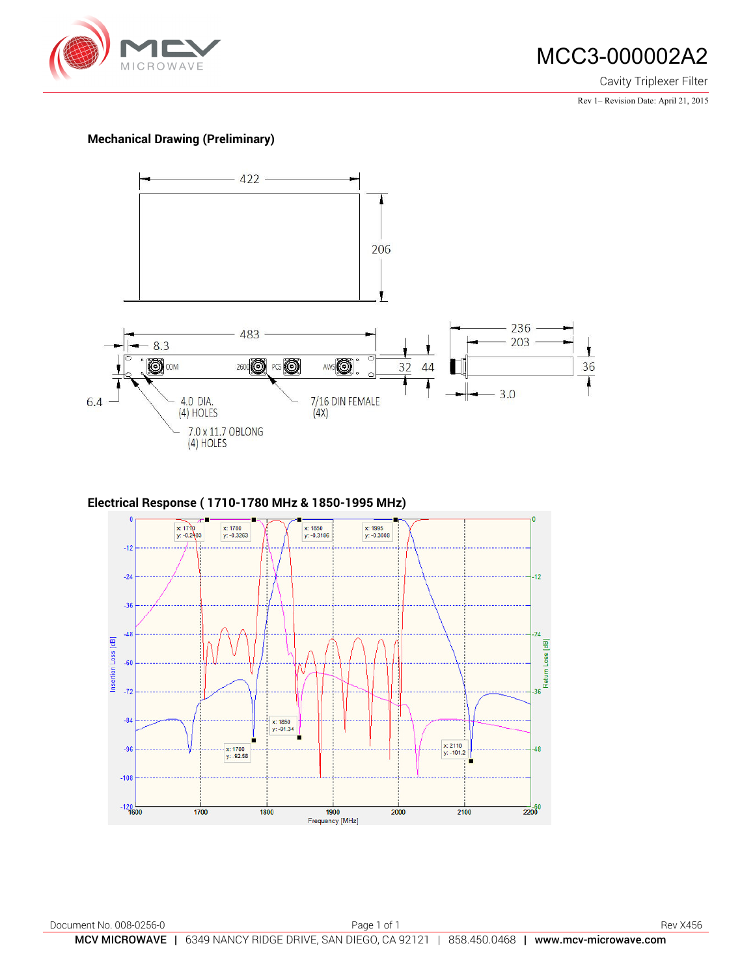

## MCC3-000002A2

Cavity Triplexer Filter

Rev 1– Revision Date: April 21, 2015

#### **Mechanical Drawing (Preliminary)**



#### **Electrical Response ( 1710-1780 MHz & 1850-1995 MHz)**